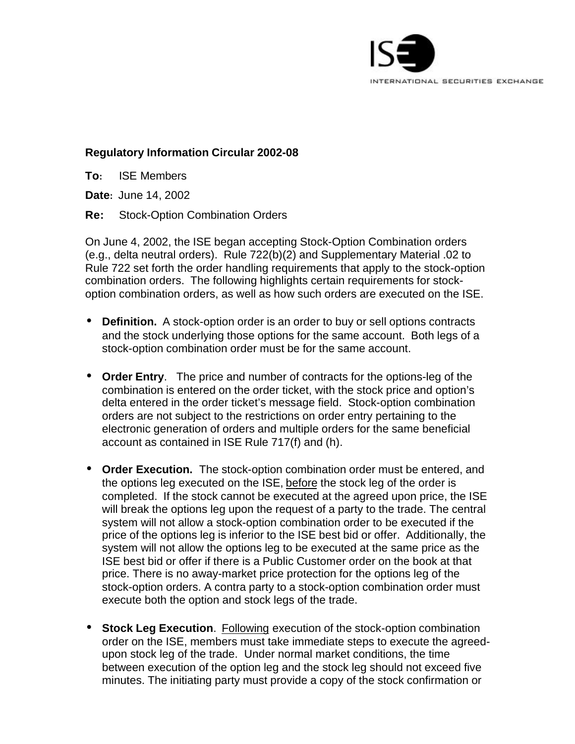

## **Regulatory Information Circular 2002-08**

**To:** ISE Members

**Date:** June 14, 2002

**Re:** Stock-Option Combination Orders

On June 4, 2002, the ISE began accepting Stock-Option Combination orders (e.g., delta neutral orders). Rule 722(b)(2) and Supplementary Material .02 to Rule 722 set forth the order handling requirements that apply to the stock-option combination orders. The following highlights certain requirements for stockoption combination orders, as well as how such orders are executed on the ISE.

- **Definition.** A stock-option order is an order to buy or sell options contracts and the stock underlying those options for the same account. Both legs of a stock-option combination order must be for the same account.
- **Order Entry**. The price and number of contracts for the options-leg of the combination is entered on the order ticket, with the stock price and option's delta entered in the order ticket's message field. Stock-option combination orders are not subject to the restrictions on order entry pertaining to the electronic generation of orders and multiple orders for the same beneficial account as contained in ISE Rule 717(f) and (h).
- **Order Execution.** The stock-option combination order must be entered, and the options leg executed on the ISE, before the stock leg of the order is completed. If the stock cannot be executed at the agreed upon price, the ISE will break the options leg upon the request of a party to the trade. The central system will not allow a stock-option combination order to be executed if the price of the options leg is inferior to the ISE best bid or offer. Additionally, the system will not allow the options leg to be executed at the same price as the ISE best bid or offer if there is a Public Customer order on the book at that price. There is no away-market price protection for the options leg of the stock-option orders. A contra party to a stock-option combination order must execute both the option and stock legs of the trade.
- **Stock Leg Execution**. Following execution of the stock-option combination order on the ISE, members must take immediate steps to execute the agreedupon stock leg of the trade. Under normal market conditions, the time between execution of the option leg and the stock leg should not exceed five minutes. The initiating party must provide a copy of the stock confirmation or